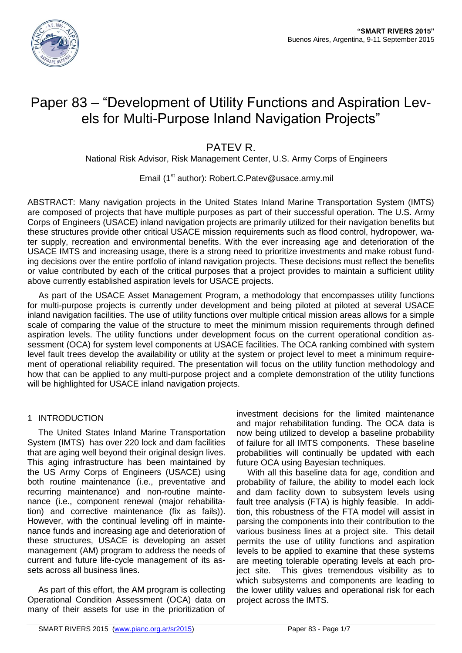

# Paper 83 – "Development of Utility Functions and Aspiration Levels for Multi-Purpose Inland Navigation Projects"

# PATEV R.

National Risk Advisor, Risk Management Center, U.S. Army Corps of Engineers

Email (1<sup>st</sup> author): Robert.C.Patev@usace.army.mil

ABSTRACT: Many navigation projects in the United States Inland Marine Transportation System (IMTS) are composed of projects that have multiple purposes as part of their successful operation. The U.S. Army Corps of Engineers (USACE) inland navigation projects are primarily utilized for their navigation benefits but these structures provide other critical USACE mission requirements such as flood control, hydropower, water supply, recreation and environmental benefits. With the ever increasing age and deterioration of the USACE IMTS and increasing usage, there is a strong need to prioritize investments and make robust funding decisions over the entire portfolio of inland navigation projects. These decisions must reflect the benefits or value contributed by each of the critical purposes that a project provides to maintain a sufficient utility above currently established aspiration levels for USACE projects.

As part of the USACE Asset Management Program, a methodology that encompasses utility functions for multi-purpose projects is currently under development and being piloted at piloted at several USACE inland navigation facilities. The use of utility functions over multiple critical mission areas allows for a simple scale of comparing the value of the structure to meet the minimum mission requirements through defined aspiration levels. The utility functions under development focus on the current operational condition assessment (OCA) for system level components at USACE facilities. The OCA ranking combined with system level fault trees develop the availability or utility at the system or project level to meet a minimum requirement of operational reliability required. The presentation will focus on the utility function methodology and how that can be applied to any multi-purpose project and a complete demonstration of the utility functions will be highlighted for USACE inland navigation projects.

# 1 INTRODUCTION

The United States Inland Marine Transportation System (IMTS) has over 220 lock and dam facilities that are aging well beyond their original design lives. This aging infrastructure has been maintained by the US Army Corps of Engineers (USACE) using both routine maintenance (i.e., preventative and recurring maintenance) and non-routine maintenance (i.e., component renewal (major rehabilitation) and corrective maintenance (fix as fails)). However, with the continual leveling off in maintenance funds and increasing age and deterioration of these structures, USACE is developing an asset management (AM) program to address the needs of current and future life-cycle management of its assets across all business lines.

As part of this effort, the AM program is collecting Operational Condition Assessment (OCA) data on many of their assets for use in the prioritization of investment decisions for the limited maintenance and major rehabilitation funding. The OCA data is now being utilized to develop a baseline probability of failure for all IMTS components. These baseline probabilities will continually be updated with each future OCA using Bayesian techniques.

With all this baseline data for age, condition and probability of failure, the ability to model each lock and dam facility down to subsystem levels using fault tree analysis (FTA) is highly feasible. In addition, this robustness of the FTA model will assist in parsing the components into their contribution to the various business lines at a project site. This detail permits the use of utility functions and aspiration levels to be applied to examine that these systems are meeting tolerable operating levels at each project site. This gives tremendous visibility as to which subsystems and components are leading to the lower utility values and operational risk for each project across the IMTS.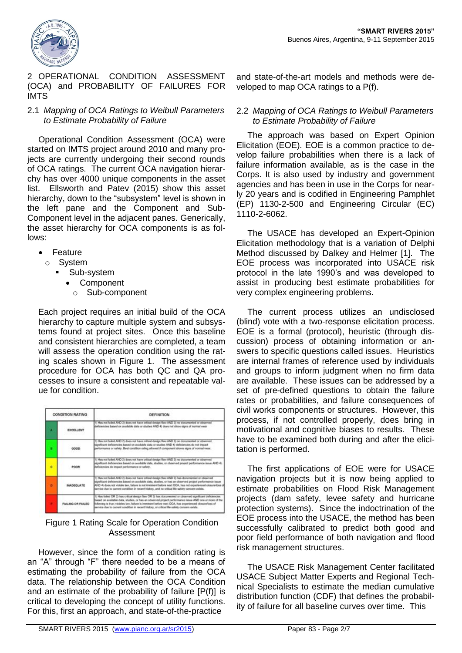



#### 2 OPERATIONAL CONDITION ASSESSMENT (OCA) and PROBABILITY OF FAILURES FOR IMTS

### 2.1 *Mapping of OCA Ratings to Weibull Parameters to Estimate Probability of Failure*

Operational Condition Assessment (OCA) were started on IMTS project around 2010 and many projects are currently undergoing their second rounds of OCA ratings. The current OCA navigation hierarchy has over 4000 unique components in the asset list. Ellsworth and Patev (2015) show this asset hierarchy, down to the "subsystem" level is shown in the left pane and the Component and Sub-Component level in the adjacent panes. Generically, the asset hierarchy for OCA components is as follows:

- Feature
- o System
	- Sub-system
		- Component
			- o Sub-component

Each project requires an initial build of the OCA hierarchy to capture multiple system and subsystems found at project sites. Once this baseline and consistent hierarchies are completed, a team will assess the operation condition using the rating scales shown in Figure 1. The assessment procedure for OCA has both QC and QA processes to insure a consistent and repeatable value for condition.

| CONDITION RATING |                    | <b>DEFINITION</b>                                                                                                                                                                                                                                                                                                                                                                                                       |  |
|------------------|--------------------|-------------------------------------------------------------------------------------------------------------------------------------------------------------------------------------------------------------------------------------------------------------------------------------------------------------------------------------------------------------------------------------------------------------------------|--|
| л                | EXCELLENT          | 1) Has not failed AND 2) does not have critical design flaw AND 3) no documented or observed<br>temporary to anger with time took the GMA entitle to plate the state in the brain is the state and                                                                                                                                                                                                                      |  |
|                  | 9000               | 1) Has not falled AND 2) does not have critical design flaw AND 3) no documented or observed<br>significant deficiencies tased on available data or studies AND 4) deficiencies do not impact<br>performance or safety. Best condition rating allowed if component shows signs of normal year.                                                                                                                          |  |
| e                | <b>POOR</b>        | 1) Has not falled AND 2) does not have critical design flaw AND 3) no documented or observed<br>significant deficiencies tiesed on available data, studies, or observed project performance issue AND 4).<br>deficiencias do impact porformance or safety.                                                                                                                                                              |  |
| $\mathbf{r}$     | <b>INADEQUATE</b>  | 1) Has not falled AND 2) does not have critical design flaw AND 3) has documented or observed<br>significant deficiencies based on available data, studies, or has an observed project performance issue<br>AND 4) does not violate tax, failure is not inwinent before next OCA, has not experienced dosure loss of<br>service due to current condition in record history, and no critical life safety concern exists. |  |
|                  | FAILING OR FAILED. | 1) Has falled DR 2) has critical design flaw DR 3) has documented or observed significant deficiencies.<br>Sased on available data, studies, or has an observed project performance issue AND one or more of the<br>following is true; violates law, failure is imminent before next OCA, has experienced dosare/loss of<br>service due to current condition in recent history, or critical life safety concern exists. |  |

# Figure 1 Rating Scale for Operation Condition Assessment

However, since the form of a condition rating is an "A" through "F" there needed to be a means of estimating the probability of failure from the OCA data. The relationship between the OCA Condition and an estimate of the probability of failure [P(f)] is critical to developing the concept of utility functions. For this, first an approach, and state-of-the-practice

and state-of-the-art models and methods were developed to map OCA ratings to a P(f).

# 2.2 *Mapping of OCA Ratings to Weibull Parameters to Estimate Probability of Failure*

The approach was based on Expert Opinion Elicitation (EOE). EOE is a common practice to develop failure probabilities when there is a lack of failure information available, as is the case in the Corps. It is also used by industry and government agencies and has been in use in the Corps for nearly 20 years and is codified in Engineering Pamphlet (EP) 1130-2-500 and Engineering Circular (EC) 1110-2-6062.

The USACE has developed an Expert-Opinion Elicitation methodology that is a variation of Delphi Method discussed by Dalkey and Helmer [1]. The EOE process was incorporated into USACE risk protocol in the late 1990's and was developed to assist in producing best estimate probabilities for very complex engineering problems.

The current process utilizes an undisclosed (blind) vote with a two-response elicitation process. EOE is a formal (protocol), heuristic (through discussion) process of obtaining information or answers to specific questions called issues. Heuristics are internal frames of reference used by individuals and groups to inform judgment when no firm data are available. These issues can be addressed by a set of pre-defined questions to obtain the failure rates or probabilities, and failure consequences of civil works components or structures. However, this process, if not controlled properly, does bring in motivational and cognitive biases to results. These have to be examined both during and after the elicitation is performed.

The first applications of EOE were for USACE navigation projects but it is now being applied to estimate probabilities on Flood Risk Management projects (dam safety, levee safety and hurricane protection systems). Since the indoctrination of the EOE process into the USACE, the method has been successfully calibrated to predict both good and poor field performance of both navigation and flood risk management structures.

The USACE Risk Management Center facilitated USACE Subject Matter Experts and Regional Technical Specialists to estimate the median cumulative distribution function (CDF) that defines the probability of failure for all baseline curves over time. This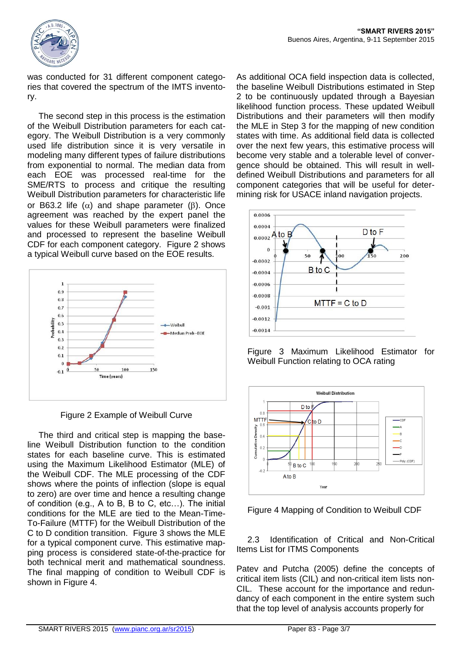

was conducted for 31 different component categories that covered the spectrum of the IMTS inventory.

The second step in this process is the estimation of the Weibull Distribution parameters for each category. The Weibull Distribution is a very commonly used life distribution since it is very versatile in modeling many different types of failure distributions from exponential to normal. The median data from each EOE was processed real-time for the SME/RTS to process and critique the resulting Weibull Distribution parameters for characteristic life or B63.2 life  $(\alpha)$  and shape parameter ( $\beta$ ). Once agreement was reached by the expert panel the values for these Weibull parameters were finalized and processed to represent the baseline Weibull CDF for each component category. Figure 2 shows a typical Weibull curve based on the EOE results.



Figure 2 Example of Weibull Curve

The third and critical step is mapping the baseline Weibull Distribution function to the condition states for each baseline curve. This is estimated using the Maximum Likelihood Estimator (MLE) of the Weibull CDF. The MLE processing of the CDF shows where the points of inflection (slope is equal to zero) are over time and hence a resulting change of condition (e.g., A to B, B to C, etc…). The initial conditions for the MLE are tied to the Mean-Time-To-Failure (MTTF) for the Weibull Distribution of the C to D condition transition. Figure 3 shows the MLE for a typical component curve. This estimative mapping process is considered state-of-the-practice for both technical merit and mathematical soundness. The final mapping of condition to Weibull CDF is shown in Figure 4.

As additional OCA field inspection data is collected, the baseline Weibull Distributions estimated in Step 2 to be continuously updated through a Bayesian likelihood function process. These updated Weibull Distributions and their parameters will then modify the MLE in Step 3 for the mapping of new condition states with time. As additional field data is collected over the next few years, this estimative process will become very stable and a tolerable level of convergence should be obtained. This will result in welldefined Weibull Distributions and parameters for all component categories that will be useful for determining risk for USACE inland navigation projects.



Figure 3 Maximum Likelihood Estimator for Weibull Function relating to OCA rating



Figure 4 Mapping of Condition to Weibull CDF

2.3 Identification of Critical and Non-Critical Items List for ITMS Components

Patev and Putcha (2005) define the concepts of critical item lists (CIL) and non-critical item lists non-CIL. These account for the importance and redundancy of each component in the entire system such that the top level of analysis accounts properly for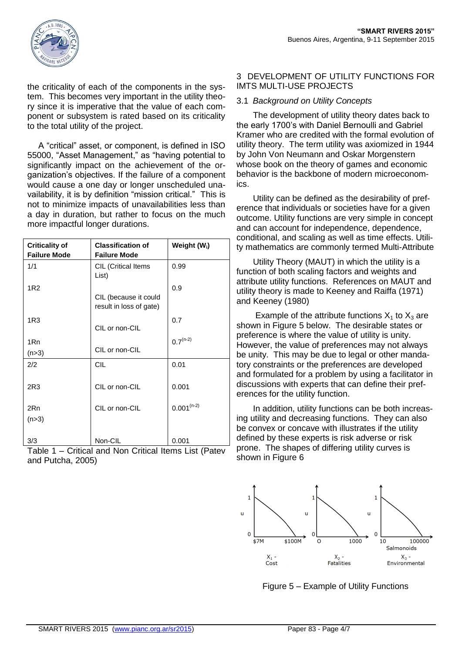

the criticality of each of the components in the system. This becomes very important in the utility theory since it is imperative that the value of each component or subsystem is rated based on its criticality to the total utility of the project.

A "critical" asset, or component, is defined in ISO 55000, "Asset Management," as "having potential to significantly impact on the achievement of the organization's objectives. If the failure of a component would cause a one day or longer unscheduled unavailability, it is by definition "mission critical." This is not to minimize impacts of unavailabilities less than a day in duration, but rather to focus on the much more impactful longer durations.

| <b>Criticality of</b><br><b>Failure Mode</b> | <b>Classification of</b><br><b>Failure Mode</b>  | Weight (W <sub>i</sub> ) |
|----------------------------------------------|--------------------------------------------------|--------------------------|
| 1/1                                          | CIL (Critical Items<br>List)                     | 0.99                     |
| 1 <sub>R2</sub>                              | CIL (because it could<br>result in loss of gate) | 0.9                      |
| 1R3                                          | CIL or non-CIL                                   | 0.7                      |
| 1Rn<br>(n>3)                                 | CIL or non-CIL                                   | $0.7^{(n-2)}$            |
| 2/2                                          | <b>CIL</b>                                       | 0.01                     |
| 2R3                                          | CIL or non-CIL                                   | 0.001                    |
| 2Rn<br>(n > 3)                               | CIL or non-CIL                                   | $0.001^{(n-2)}$          |
| 3/3                                          | Non-CIL                                          | 0.001                    |

Table 1 – Critical and Non Critical Items List (Patev and Putcha, 2005)

# 3 DEVELOPMENT OF UTILITY FUNCTIONS FOR IMTS MULTI-USE PROJECTS

# 3.1 *Background on Utility Concepts*

The development of utility theory dates back to the early 1700's with Daniel Bernoulli and Gabriel Kramer who are credited with the formal evolution of utility theory. The term utility was axiomized in 1944 by John Von Neumann and Oskar Morgenstern whose book on the theory of games and economic behavior is the backbone of modern microeconomics.

Utility can be defined as the desirability of preference that individuals or societies have for a given outcome. Utility functions are very simple in concept and can account for independence, dependence, conditional, and scaling as well as time effects. Utility mathematics are commonly termed Multi-Attribute

Utility Theory (MAUT) in which the utility is a function of both scaling factors and weights and attribute utility functions. References on MAUT and utility theory is made to Keeney and Raiffa (1971) and Keeney (1980)

Example of the attribute functions  $X_1$  to  $X_3$  are shown in Figure 5 below. The desirable states or preference is where the value of utility is unity. However, the value of preferences may not always be unity. This may be due to legal or other mandatory constraints or the preferences are developed and formulated for a problem by using a facilitator in discussions with experts that can define their preferences for the utility function.

In addition, utility functions can be both increasing utility and decreasing functions. They can also be convex or concave with illustrates if the utility defined by these experts is risk adverse or risk prone. The shapes of differing utility curves is shown in Figure 6



Figure 5 – Example of Utility Functions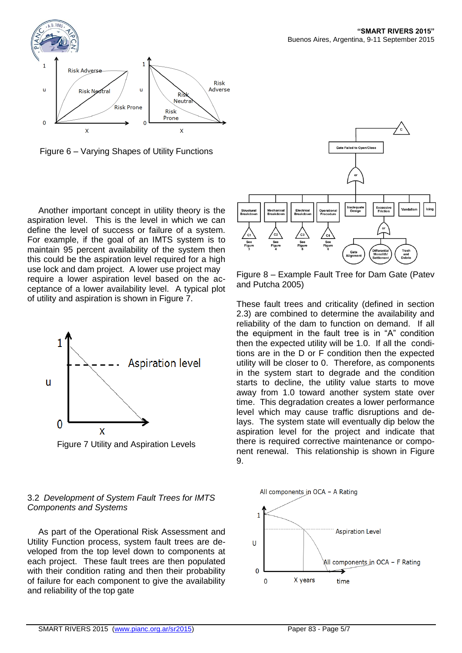

Figure 6 – Varying Shapes of Utility Functions

Another important concept in utility theory is the aspiration level. This is the level in which we can define the level of success or failure of a system. For example, if the goal of an IMTS system is to maintain 95 percent availability of the system then this could be the aspiration level required for a high use lock and dam project. A lower use project may require a lower aspiration level based on the acceptance of a lower availability level. A typical plot of utility and aspiration is shown in Figure 7.



Figure 7 Utility and Aspiration Levels

# 3.2 *Development of System Fault Trees for IMTS Components and Systems*

As part of the Operational Risk Assessment and Utility Function process, system fault trees are developed from the top level down to components at each project. These fault trees are then populated with their condition rating and then their probability of failure for each component to give the availability and reliability of the top gate



Figure 8 – Example Fault Tree for Dam Gate (Patev and Putcha 2005)

These fault trees and criticality (defined in section 2.3) are combined to determine the availability and reliability of the dam to function on demand. If all the equipment in the fault tree is in "A" condition then the expected utility will be 1.0. If all the conditions are in the D or F condition then the expected utility will be closer to 0. Therefore, as components in the system start to degrade and the condition starts to decline, the utility value starts to move away from 1.0 toward another system state over time. This degradation creates a lower performance level which may cause traffic disruptions and delays. The system state will eventually dip below the aspiration level for the project and indicate that there is required corrective maintenance or component renewal. This relationship is shown in Figure 9.

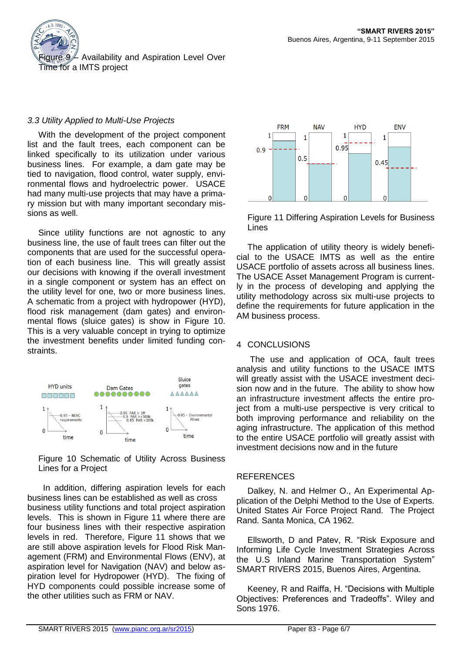

# *3.3 Utility Applied to Multi-Use Projects*

With the development of the project component list and the fault trees, each component can be linked specifically to its utilization under various business lines. For example, a dam gate may be tied to navigation, flood control, water supply, environmental flows and hydroelectric power. USACE had many multi-use projects that may have a primary mission but with many important secondary missions as well.

Since utility functions are not agnostic to any business line, the use of fault trees can filter out the components that are used for the successful operation of each business line. This will greatly assist our decisions with knowing if the overall investment in a single component or system has an effect on the utility level for one, two or more business lines. A schematic from a project with hydropower (HYD), flood risk management (dam gates) and environmental flows (sluice gates) is show in Figure 10. This is a very valuable concept in trying to optimize the investment benefits under limited funding constraints.





 In addition, differing aspiration levels for each business lines can be established as well as cross business utility functions and total project aspiration levels. This is shown in Figure 11 where there are four business lines with their respective aspiration levels in red. Therefore, Figure 11 shows that we are still above aspiration levels for Flood Risk Management (FRM) and Environmental Flows (ENV), at aspiration level for Navigation (NAV) and below aspiration level for Hydropower (HYD). The fixing of HYD components could possible increase some of the other utilities such as FRM or NAV.



Figure 11 Differing Aspiration Levels for Business Lines

The application of utility theory is widely beneficial to the USACE IMTS as well as the entire USACE portfolio of assets across all business lines. The USACE Asset Management Program is currently in the process of developing and applying the utility methodology across six multi-use projects to define the requirements for future application in the AM business process.

# 4 CONCLUSIONS

The use and application of OCA, fault trees analysis and utility functions to the USACE IMTS will greatly assist with the USACE investment decision now and in the future. The ability to show how an infrastructure investment affects the entire project from a multi-use perspective is very critical to both improving performance and reliability on the aging infrastructure. The application of this method to the entire USACE portfolio will greatly assist with investment decisions now and in the future

#### **REFERENCES**

Dalkey, N. and Helmer O., An Experimental Application of the Delphi Method to the Use of Experts. United States Air Force Project Rand. The Project Rand. Santa Monica, CA 1962.

Ellsworth, D and Patev, R. "Risk Exposure and Informing Life Cycle Investment Strategies Across the U.S Inland Marine Transportation System" SMART RIVERS 2015, Buenos Aires, Argentina.

Keeney, R and Raiffa, H. "Decisions with Multiple Objectives: Preferences and Tradeoffs". Wiley and Sons 1976.